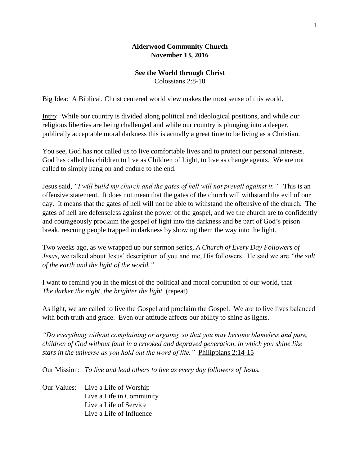#### **Alderwood Community Church November 13, 2016**

#### **See the World through Christ** Colossians 2:8-10

Big Idea: A Biblical, Christ centered world view makes the most sense of this world.

Intro: While our country is divided along political and ideological positions, and while our religious liberties are being challenged and while our country is plunging into a deeper, publically acceptable moral darkness this is actually a great time to be living as a Christian.

You see, God has not called us to live comfortable lives and to protect our personal interests. God has called his children to live as Children of Light, to live as change agents. We are not called to simply hang on and endure to the end.

Jesus said, *"I will build my church and the gates of hell will not prevail against it."* This is an offensive statement. It does not mean that the gates of the church will withstand the evil of our day. It means that the gates of hell will not be able to withstand the offensive of the church. The gates of hell are defenseless against the power of the gospel, and we the church are to confidently and courageously proclaim the gospel of light into the darkness and be part of God's prison break, rescuing people trapped in darkness by showing them the way into the light.

Two weeks ago, as we wrapped up our sermon series, *A Church of Every Day Followers of Jesus,* we talked about Jesus' description of you and me, His followers. He said we are *"the salt of the earth and the light of the world."*

I want to remind you in the midst of the political and moral corruption of our world, that *The darker the night, the brighter the light.* (repeat)

As light, we are called to live the Gospel and proclaim the Gospel. We are to live lives balanced with both truth and grace. Even our attitude affects our ability to shine as lights.

*"Do everything without complaining or arguing, so that you may become blameless and pure, children of God without fault in a crooked and depraved generation, in which you shine like stars in the universe as you hold out the word of life."* Philippians 2:14-15

Our Mission: *To live and lead others to live as every day followers of Jesus.*

Our Values: Live a Life of Worship Live a Life in Community Live a Life of Service Live a Life of Influence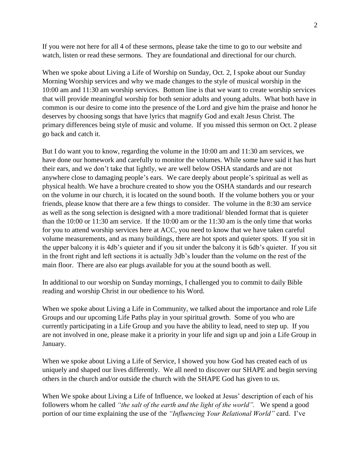If you were not here for all 4 of these sermons, please take the time to go to our website and watch, listen or read these sermons. They are foundational and directional for our church.

When we spoke about Living a Life of Worship on Sunday, Oct. 2, I spoke about our Sunday Morning Worship services and why we made changes to the style of musical worship in the 10:00 am and 11:30 am worship services. Bottom line is that we want to create worship services that will provide meaningful worship for both senior adults and young adults. What both have in common is our desire to come into the presence of the Lord and give him the praise and honor he deserves by choosing songs that have lyrics that magnify God and exalt Jesus Christ. The primary differences being style of music and volume. If you missed this sermon on Oct. 2 please go back and catch it.

But I do want you to know, regarding the volume in the 10:00 am and 11:30 am services, we have done our homework and carefully to monitor the volumes. While some have said it has hurt their ears, and we don't take that lightly, we are well below OSHA standards and are not anywhere close to damaging people's ears. We care deeply about people's spiritual as well as physical health. We have a brochure created to show you the OSHA standards and our research on the volume in our church, it is located on the sound booth. If the volume bothers you or your friends, please know that there are a few things to consider. The volume in the 8:30 am service as well as the song selection is designed with a more traditional/ blended format that is quieter than the 10:00 or 11:30 am service. If the 10:00 am or the 11:30 am is the only time that works for you to attend worship services here at ACC, you need to know that we have taken careful volume measurements, and as many buildings, there are hot spots and quieter spots. If you sit in the upper balcony it is 4db's quieter and if you sit under the balcony it is 6db's quieter. If you sit in the front right and left sections it is actually 3db's louder than the volume on the rest of the main floor. There are also ear plugs available for you at the sound booth as well.

In additional to our worship on Sunday mornings, I challenged you to commit to daily Bible reading and worship Christ in our obedience to his Word.

When we spoke about Living a Life in Community, we talked about the importance and role Life Groups and our upcoming Life Paths play in your spiritual growth. Some of you who are currently participating in a Life Group and you have the ability to lead, need to step up. If you are not involved in one, please make it a priority in your life and sign up and join a Life Group in January.

When we spoke about Living a Life of Service, I showed you how God has created each of us uniquely and shaped our lives differently. We all need to discover our SHAPE and begin serving others in the church and/or outside the church with the SHAPE God has given to us.

When We spoke about Living a Life of Influence, we looked at Jesus' description of each of his followers whom he called "the salt of the earth and the light of the world". We spend a good portion of our time explaining the use of the *"Influencing Your Relational World"* card. I've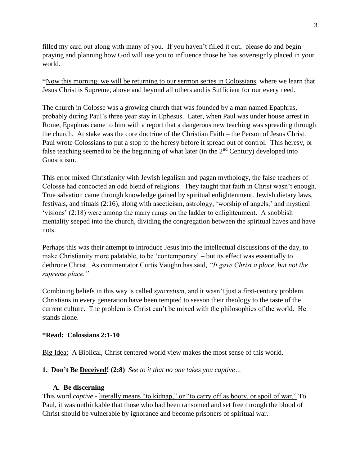filled my card out along with many of you. If you haven't filled it out, please do and begin praying and planning how God will use you to influence those he has sovereignly placed in your world.

\*Now this morning, we will be returning to our sermon series in Colossians, where we learn that Jesus Christ is Supreme, above and beyond all others and is Sufficient for our every need.

The church in Colosse was a growing church that was founded by a man named Epaphras, probably during Paul's three year stay in Ephesus. Later, when Paul was under house arrest in Rome, Epaphras came to him with a report that a dangerous new teaching was spreading through the church. At stake was the core doctrine of the Christian Faith – the Person of Jesus Christ. Paul wrote Colossians to put a stop to the heresy before it spread out of control. This heresy, or false teaching seemed to be the beginning of what later (in the  $2<sup>nd</sup>$  Century) developed into Gnosticism.

This error mixed Christianity with Jewish legalism and pagan mythology, the false teachers of Colosse had concocted an odd blend of religions. They taught that faith in Christ wasn't enough. True salvation came through knowledge gained by spiritual enlightenment. Jewish dietary laws, festivals, and rituals (2:16), along with asceticism, astrology, 'worship of angels,' and mystical 'visions' (2:18) were among the many rungs on the ladder to enlightenment. A snobbish mentality seeped into the church, dividing the congregation between the spiritual haves and have nots.

Perhaps this was their attempt to introduce Jesus into the intellectual discussions of the day, to make Christianity more palatable, to be 'contemporary' – but its effect was essentially to dethrone Christ. As commentator Curtis Vaughn has said, *"It gave Christ a place, but not the supreme place."*

Combining beliefs in this way is called *syncretism*, and it wasn't just a first-century problem. Christians in every generation have been tempted to season their theology to the taste of the current culture. The problem is Christ can't be mixed with the philosophies of the world. He stands alone.

## **\*Read: Colossians 2:1-10**

Big Idea: A Biblical, Christ centered world view makes the most sense of this world.

## **1. Don't Be Deceived! (2:8)** *See to it that no one takes you captive…*

#### **A. Be discerning**

This word *captive* - <u>literally means "to kidnap," or "to carry off as booty, or spoil of war."</u> To Paul, it was unthinkable that those who had been ransomed and set free through the blood of Christ should be vulnerable by ignorance and become prisoners of spiritual war.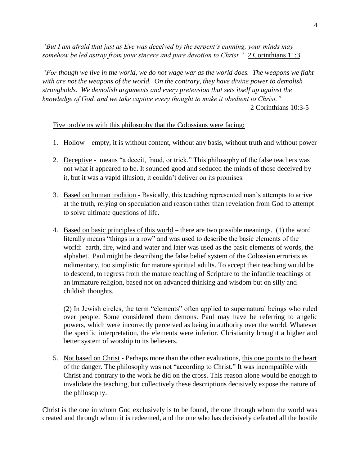*"But I am afraid that just as Eve was deceived by the serpent's cunning, your minds may somehow be led astray from your sincere and pure devotion to Christ."* 2 Corinthians 11:3

*"For though we live in the world, we do not wage war as the world does. The weapons we fight with are not the weapons of the world. On the contrary, they have divine power to demolish strongholds. We demolish arguments and every pretension that sets itself up against the knowledge of God, and we take captive every thought to make it obedient to Christ."* 

2 Corinthians 10:3-5

Five problems with this philosophy that the Colossians were facing:

- 1. Hollow empty, it is without content, without any basis, without truth and without power
- 2. Deceptive means "a deceit, fraud, or trick." This philosophy of the false teachers was not what it appeared to be. It sounded good and seduced the minds of those deceived by it, but it was a vapid illusion, it couldn't deliver on its promises.
- 3. Based on human tradition Basically, this teaching represented man's attempts to arrive at the truth, relying on speculation and reason rather than revelation from God to attempt to solve ultimate questions of life.
- 4. Based on basic principles of this world there are two possible meanings. (1) the word literally means "things in a row" and was used to describe the basic elements of the world: earth, fire, wind and water and later was used as the basic elements of words, the alphabet. Paul might be describing the false belief system of the Colossian errorists as rudimentary, too simplistic for mature spiritual adults. To accept their teaching would be to descend, to regress from the mature teaching of Scripture to the infantile teachings of an immature religion, based not on advanced thinking and wisdom but on silly and childish thoughts.

(2) In Jewish circles, the term "elements" often applied to supernatural beings who ruled over people. Some considered them demons. Paul may have be referring to angelic powers, which were incorrectly perceived as being in authority over the world. Whatever the specific interpretation, the elements were inferior. Christianity brought a higher and better system of worship to its believers.

5. Not based on Christ - Perhaps more than the other evaluations, this one points to the heart of the danger. The philosophy was not "according to Christ." It was incompatible with Christ and contrary to the work he did on the cross. This reason alone would be enough to invalidate the teaching, but collectively these descriptions decisively expose the nature of the philosophy.

Christ is the one in whom God exclusively is to be found, the one through whom the world was created and through whom it is redeemed, and the one who has decisively defeated all the hostile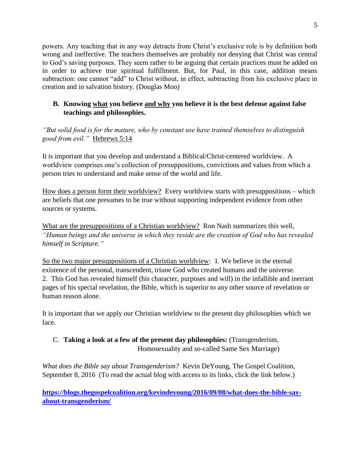powers. Any teaching that in any way detracts from Christ's exclusive role is by definition both wrong and ineffective. The teachers themselves are probably not denying that Christ was central to God's saving purposes. They seem rather to be arguing that certain practices must be added on in order to achieve true spiritual fulfillment. But, for Paul, in this case, addition means subtraction: one cannot "add" to Christ without, in effect, subtracting from his exclusive place in creation and in salvation history. (Douglas Moo)

## **B. Knowing what you believe and why you believe it is the best defense against false teachings and philosophies.**

*"But solid food is for the mature, who by constant use have trained themselves to distinguish good from evil."* Hebrews 5:14

It is important that you develop and understand a Biblical/Christ-centered worldview. A worldview comprises one's collection of presuppositions, convictions and values from which a person tries to understand and make sense of the world and life.

How does a person form their worldview? Every worldview starts with presuppositions – which are beliefs that one presumes to be true without supporting independent evidence from other sources or systems.

What are the presuppositions of a Christian worldview? Ron Nash summarizes this well, *"Human beings and the universe in which they reside are the creation of God who has revealed himself in Scripture."*

So the two major presuppositions of a Christian worldview: 1. We believe in the eternal existence of the personal, transcendent, triune God who created humans and the universe. 2. This God has revealed himself (his character, purposes and will) in the infallible and inerrant pages of his special revelation, the Bible, which is superior to any other source of revelation or human reason alone.

It is important that we apply our Christian worldview to the present day philosophies which we face.

## C. **Taking a look at a few of the present day philosophies:** (Transgenderism, Homosexuality and so-called Same Sex Marriage)

*What does the Bible say about Transgenderism?* Kevin DeYoung, The Gospel Coalition, September 8, 2016 (To read the actual blog with access to its links, click the link below.)

**[https://blogs.thegospelcoalition.org/kevindeyoung/2016/09/08/what-does-the-bible-say](https://blogs.thegospelcoalition.org/kevindeyoung/2016/09/08/what-does-the-bible-say-about-transgenderism/)[about-transgenderism/](https://blogs.thegospelcoalition.org/kevindeyoung/2016/09/08/what-does-the-bible-say-about-transgenderism/)**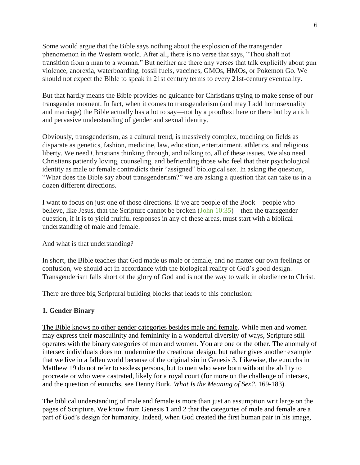Some would argue that the Bible says nothing about the explosion of the transgender phenomenon in the Western world. After all, there is no verse that says, "Thou shalt not transition from a man to a woman." But neither are there any verses that talk explicitly about gun violence, anorexia, waterboarding, fossil fuels, vaccines, GMOs, HMOs, or Pokemon Go. We should not expect the Bible to speak in 21st century terms to every 21st-century eventuality.

But that hardly means the Bible provides no guidance for Christians trying to make sense of our transgender moment. In fact, when it comes to transgenderism (and may I add homosexuality and marriage) the Bible actually has a lot to say—not by a prooftext here or there but by a rich and pervasive understanding of gender and sexual identity.

Obviously, transgenderism, as a cultural trend, is massively complex, touching on fields as disparate as genetics, fashion, medicine, law, education, entertainment, athletics, and religious liberty. We need Christians thinking through, and talking to, all of these issues. We also need Christians patiently loving, counseling, and befriending those who feel that their psychological identity as male or female contradicts their "assigned" biological sex. In asking the question, "What does the Bible say about transgenderism?" we are asking a question that can take us in a dozen different directions.

I want to focus on just one of those directions. If we are people of the Book—people who believe, like Jesus, that the Scripture cannot be broken [\(John 10:35\)](http://biblia.com/bible/esv/John%2010.35)—then the transgender question, if it is to yield fruitful responses in any of these areas, must start with a biblical understanding of male and female.

And what is that understanding?

In short, the Bible teaches that God made us male or female, and no matter our own feelings or confusion, we should act in accordance with the biological reality of God's good design. Transgenderism falls short of the glory of God and is not the way to walk in obedience to Christ.

There are three big Scriptural building blocks that leads to this conclusion:

#### **1. Gender Binary**

The Bible knows no other gender categories besides male and female. While men and women may express their masculinity and femininity in a wonderful diversity of ways, Scripture still operates with the binary categories of men and women. You are one or the other. The anomaly of intersex individuals does not undermine the creational design, but rather gives another example that we live in a fallen world because of the original sin in Genesis 3. Likewise, the eunuchs in Matthew 19 do not refer to sexless persons, but to men who were born without the ability to procreate or who were castrated, likely for a royal court (for more on the challenge of intersex, and the question of eunuchs, see Denny Burk, *What [Is the Meaning of Sex?](https://www.amazon.com/What-Meaning-Sex-Denny-Burk/dp/1433536099?tag=thegospcoal-20)*, 169-183).

The biblical understanding of male and female is more than just an assumption writ large on the pages of Scripture. We know from Genesis 1 and 2 that the categories of male and female are a part of God's design for humanity. Indeed, when God created the first human pair in his image,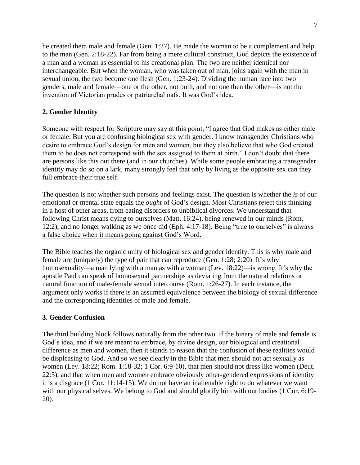he created them male and female [\(Gen. 1:27\)](http://biblia.com/bible/esv/Gen.%201.27). He made the woman to be a complement and help to the man [\(Gen. 2:18-22\)](http://biblia.com/bible/esv/Gen.%202.18-22). Far from being a mere cultural construct, God depicts the existence of a man and a woman as essential to his creational plan. The two are neither identical nor interchangeable. But when the woman, who was taken out of man, joins again with the man in sexual union, the two become one flesh [\(Gen. 1:23-24\)](http://biblia.com/bible/esv/Gen.%201.23-24). Dividing the human race into two genders, male and female—one or the other, not both, and not one then the other—is not the invention of Victorian prudes or patriarchal oafs. It was God's idea.

## **2. Gender Identity**

Someone with respect for Scripture may say at this point, "I agree that God makes as either male or female. But you are confusing biological sex with gender. I know transgender Christians who desire to embrace God's design for men and women, but they also believe that who God created them to be does not correspond with the sex assigned to them at birth." I don't doubt that there are persons like this out there (and in our churches). While some people embracing a transgender identity may do so on a lark, many strongly feel that only by living as the opposite sex can they full embrace their true self.

The question is not whether such persons and feelings exist. The question is whether the *is* of our emotional or mental state equals the *ought* of God's design. Most Christians reject this thinking in a host of other areas, from eating disorders to unbiblical divorces. We understand that following Christ means dying to ourselves [\(Matt. 16:24\)](http://biblia.com/bible/esv/Matt.%2016.24), being renewed in our minds [\(Rom.](http://biblia.com/bible/esv/Rom.%2012.2)  [12:2\)](http://biblia.com/bible/esv/Rom.%2012.2), and no longer walking as we once did [\(Eph. 4:17-18\)](http://biblia.com/bible/esv/Eph.%204.17-18). Being "true to ourselves" is always a false choice when it means going against God's Word.

The Bible teaches the organic unity of biological sex and gender identity. This is why male and female are (uniquely) the type of pair that can reproduce [\(Gen. 1:28;](http://biblia.com/bible/esv/Gen.%201.28) [2:20\)](http://biblia.com/bible/esv/Gen%202.20). It's why homosexuality—a man lying with a man as with a woman [\(Lev. 18:22\)](http://biblia.com/bible/esv/Lev.%2018.22)—is wrong. It's why the apostle Paul can speak of homosexual partnerships as deviating from the natural relations or natural function of male-female sexual intercourse [\(Rom. 1:26-27\)](http://biblia.com/bible/esv/Rom.%201.26-27). In each instance, the argument only works if there is an assumed equivalence between the biology of sexual difference and the corresponding identities of male and female.

## **3. Gender Confusion**

The third building block follows naturally from the other two. If the binary of male and female is God's idea, and if we are meant to embrace, by divine design, our biological and creational difference as men and women, then it stands to reason that the confusion of these realities would be displeasing to God. And so we see clearly in the Bible that men should not act sexually as women [\(Lev. 18:22;](http://biblia.com/bible/esv/Lev.%2018.22) [Rom. 1:18-32;](http://biblia.com/bible/esv/Rom.%201.18-32) [1 Cor. 6:9-10\)](http://biblia.com/bible/esv/1%20Cor.%206.9-10), that men should not dress like women [\(Deut.](http://biblia.com/bible/esv/Deut.%2022.5)  [22:5\)](http://biblia.com/bible/esv/Deut.%2022.5), and that when men and women embrace obviously other-gendered expressions of identity it is a disgrace [\(1 Cor. 11:14-15\)](http://biblia.com/bible/esv/1%20Cor.%2011.14-15). We do not have an inalienable right to do whatever we want with our physical selves. We belong to God and should glorify him with our bodies [\(1 Cor. 6:19-](http://biblia.com/bible/esv/1%20Cor.%206.19-20) [20\)](http://biblia.com/bible/esv/1%20Cor.%206.19-20).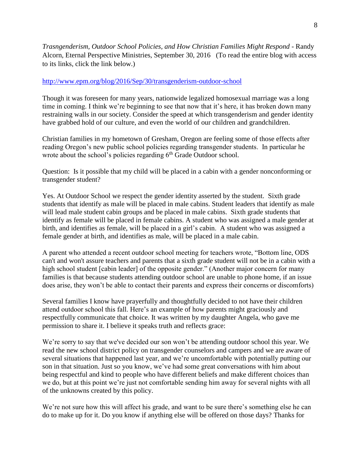*Trasngenderism, Outdoor School Policies, and How Christian Families Might Respond -* Randy Alcorn, Eternal Perspective Ministries, September 30, 2016 (To read the entire blog with access to its links, click the link below.)

#### <http://www.epm.org/blog/2016/Sep/30/transgenderism-outdoor-school>

Though it was foreseen for many years, nationwide legalized homosexual marriage was a long time in coming. I think we're beginning to see that now that it's here, it has broken down many restraining walls in our society. Consider the speed at which transgenderism and gender identity have grabbed hold of our culture, and even the world of our children and grandchildren.

Christian families in my hometown of Gresham, Oregon are feeling some of those effects after reading Oregon's new public school policies regarding transgender students. In particular he wrote about the school's policies regarding 6<sup>th</sup> Grade Outdoor school.

Question: Is it possible that my child will be placed in a cabin with a gender nonconforming or transgender student?

Yes. At Outdoor School we respect the gender identity asserted by the student. Sixth grade students that identify as male will be placed in male cabins. Student leaders that identify as male will lead male student cabin groups and be placed in male cabins. Sixth grade students that identify as female will be placed in female cabins. A student who was assigned a male gender at birth, and identifies as female, will be placed in a girl's cabin. A student who was assigned a female gender at birth, and identifies as male, will be placed in a male cabin.

A parent who attended a recent outdoor school meeting for teachers wrote, "Bottom line, ODS can't and won't assure teachers and parents that a sixth grade student will not be in a cabin with a high school student [cabin leader] of the opposite gender." (Another major concern for many families is that because students attending outdoor school are unable to phone home, if an issue does arise, they won't be able to contact their parents and express their concerns or discomforts)

Several families I know have prayerfully and thoughtfully decided to not have their children attend outdoor school this fall. Here's an example of how parents might graciously and respectfully communicate that choice. It was written by my daughter Angela, who gave me permission to share it. I believe it speaks truth and reflects grace:

We're sorry to say that we've decided our son won't be attending outdoor school this year. We read the new school district policy on transgender counselors and campers and we are aware of several situations that happened last year, and we're uncomfortable with potentially putting our son in that situation. Just so you know, we've had some great conversations with him about being respectful and kind to people who have different beliefs and make different choices than we do, but at this point we're just not comfortable sending him away for several nights with all of the unknowns created by this policy.

We're not sure how this will affect his grade, and want to be sure there's something else he can do to make up for it. Do you know if anything else will be offered on those days? Thanks for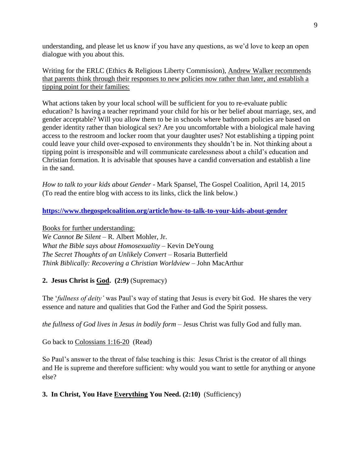understanding, and please let us know if you have any questions, as we'd love to keep an open dialogue with you about this.

Writing for the ERLC (Ethics & Religious Liberty Commission), [Andrew Walker recommends](http://erlc.com/resource-library/articles/obama-administration-issues-sweeping-transgender-decree-what-now) that parents think through their responses to new policies now rather than later, and establish a tipping point for their families:

What actions taken by your local school will be sufficient for you to re-evaluate public education? Is having a teacher reprimand your child for his or her belief about marriage, sex, and gender acceptable? Will you allow them to be in schools where bathroom policies are based on gender identity rather than biological sex? Are you uncomfortable with a biological male having access to the restroom and locker room that your daughter uses? Not establishing a tipping point could leave your child over-exposed to environments they shouldn't be in. Not thinking about a tipping point is irresponsible and will communicate carelessness about a child's education and Christian formation. It is advisable that spouses have a candid conversation and establish a line in the sand.

*How to talk to your kids about Gender* - Mark Spansel, The Gospel Coalition, April 14, 2015 (To read the entire blog with access to its links, click the link below.)

**<https://www.thegospelcoalition.org/article/how-to-talk-to-your-kids-about-gender>**

Books for further understanding:

*We Cannot Be Silent* – R. Albert Mohler, Jr. *What the Bible says about Homosexuality* – Kevin DeYoung *The Secret Thoughts of an Unlikely Convert* – Rosaria Butterfield *Think Biblically: Recovering a Christian Worldview –* John MacArthur

## **2. Jesus Christ is God. (2:9)** (Supremacy)

The '*fullness of deity'* was Paul's way of stating that Jesus is every bit God. He shares the very essence and nature and qualities that God the Father and God the Spirit possess.

*the fullness of God lives in Jesus in bodily form* – Jesus Christ was fully God and fully man.

Go back to Colossians 1:16-20 (Read)

So Paul's answer to the threat of false teaching is this: Jesus Christ is the creator of all things and He is supreme and therefore sufficient: why would you want to settle for anything or anyone else?

**3. In Christ, You Have Everything You Need. (2:10)** (Sufficiency)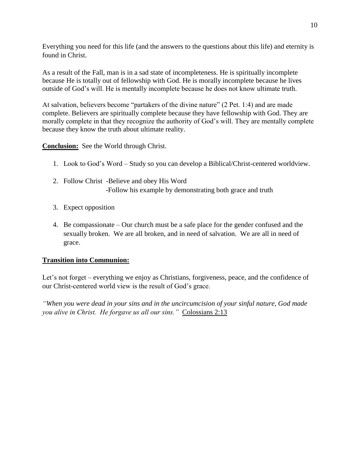Everything you need for this life (and the answers to the questions about this life) and eternity is found in Christ.

As a result of the Fall, man is in a sad state of incompleteness. He is spiritually incomplete because He is totally out of fellowship with God. He is morally incomplete because he lives outside of God's will. He is mentally incomplete because he does not know ultimate truth.

At salvation, believers become "partakers of the divine nature" (2 Pet. 1:4) and are made complete. Believers are spiritually complete because they have fellowship with God. They are morally complete in that they recognize the authority of God's will. They are mentally complete because they know the truth about ultimate reality.

**Conclusion:** See the World through Christ.

- 1. Look to God's Word Study so you can develop a Biblical/Christ-centered worldview.
- 2. Follow Christ -Believe and obey His Word -Follow his example by demonstrating both grace and truth
- 3. Expect opposition
- 4. Be compassionate Our church must be a safe place for the gender confused and the sexually broken. We are all broken, and in need of salvation. We are all in need of grace.

## **Transition into Communion:**

Let's not forget – everything we enjoy as Christians, forgiveness, peace, and the confidence of our Christ-centered world view is the result of God's grace.

*"When you were dead in your sins and in the uncircumcision of your sinful nature, God made you alive in Christ. He forgave us all our sins."* Colossians 2:13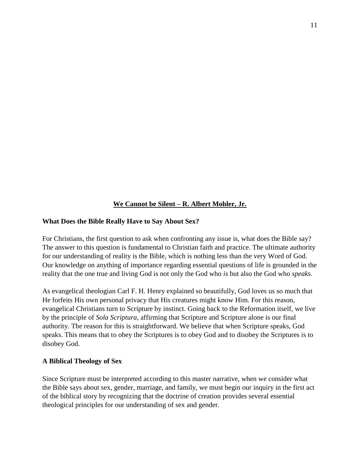## **We Cannot be Silent – R. Albert Mohler, Jr.**

#### **What Does the Bible Really Have to Say About Sex?**

For Christians, the first question to ask when confronting any issue is, what does the Bible say? The answer to this question is fundamental to Christian faith and practice. The ultimate authority for our understanding of reality is the Bible, which is nothing less than the very Word of God. Our knowledge on anything of importance regarding essential questions of life is grounded in the reality that the one true and living God is not only the God who *is* but also the God who *speaks*.

As evangelical theologian Carl F. H. Henry explained so beautifully, God loves us so much that He forfeits His own personal privacy that His creatures might know Him. For this reason, evangelical Christians turn to Scripture by instinct. Going back to the Reformation itself, we live by the principle of *Sola Scriptura*, affirming that Scripture and Scripture alone is our final authority. The reason for this is straightforward. We believe that when Scripture speaks, God speaks. This means that to obey the Scriptures is to obey God and to disobey the Scriptures is to disobey God.

#### **A Biblical Theology of Sex**

Since Scripture must be interpreted according to this master narrative, when we consider what the Bible says about sex, gender, marriage, and family, we must begin our inquiry in the first act of the biblical story by recognizing that the doctrine of creation provides several essential theological principles for our understanding of sex and gender.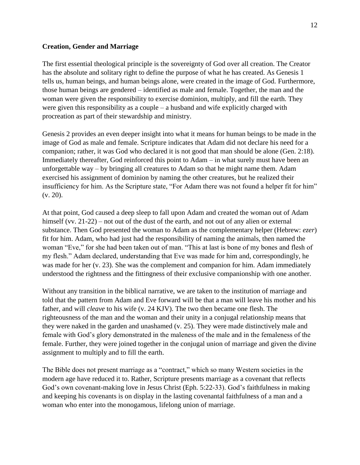#### **Creation, Gender and Marriage**

The first essential theological principle is the sovereignty of God over all creation. The Creator has the absolute and solitary right to define the purpose of what he has created. As Genesis 1 tells us, human beings, and human beings alone, were created in the image of God. Furthermore, those human beings are gendered – identified as male and female. Together, the man and the woman were given the responsibility to exercise dominion, multiply, and fill the earth. They were given this responsibility as a couple – a husband and wife explicitly charged with procreation as part of their stewardship and ministry.

Genesis 2 provides an even deeper insight into what it means for human beings to be made in the image of God as male and female. Scripture indicates that Adam did not declare his need for a companion; rather, it was God who declared it is not good that man should be alone (Gen. 2:18). Immediately thereafter, God reinforced this point to Adam – in what surely must have been an unforgettable way – by bringing all creatures to Adam so that he might name them. Adam exercised his assignment of dominion by naming the other creatures, but he realized their insufficiency for him. As the Scripture state, "For Adam there was not found a helper fit for him" (v. 20).

At that point, God caused a deep sleep to fall upon Adam and created the woman out of Adam himself (vv. 21-22) – not out of the dust of the earth, and not out of any alien or external substance. Then God presented the woman to Adam as the complementary helper (Hebrew: *ezer*) fit for him. Adam, who had just had the responsibility of naming the animals, then named the woman "Eve," for she had been taken out of man. "This at last is bone of my bones and flesh of my flesh." Adam declared, understanding that Eve was made for him and, correspondingly, he was made for her (v. 23). She was the complement and companion for him. Adam immediately understood the rightness and the fittingness of their exclusive companionship with one another.

Without any transition in the biblical narrative, we are taken to the institution of marriage and told that the pattern from Adam and Eve forward will be that a man will leave his mother and his father, and will *cleave* to his wife (v. 24 KJV). The two then became one flesh. The righteousness of the man and the woman and their unity in a conjugal relationship means that they were naked in the garden and unashamed (v. 25). They were made distinctively male and female with God's glory demonstrated in the maleness of the male and in the femaleness of the female. Further, they were joined together in the conjugal union of marriage and given the divine assignment to multiply and to fill the earth.

The Bible does not present marriage as a "contract," which so many Western societies in the modern age have reduced it to. Rather, Scripture presents marriage as a covenant that reflects God's own covenant-making love in Jesus Christ (Eph. 5:22-33). God's faithfulness in making and keeping his covenants is on display in the lasting covenantal faithfulness of a man and a woman who enter into the monogamous, lifelong union of marriage.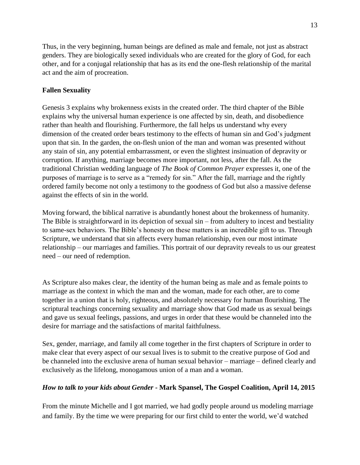Thus, in the very beginning, human beings are defined as male and female, not just as abstract genders. They are biologically sexed individuals who are created for the glory of God, for each other, and for a conjugal relationship that has as its end the one-flesh relationship of the marital act and the aim of procreation.

#### **Fallen Sexuality**

Genesis 3 explains why brokenness exists in the created order. The third chapter of the Bible explains why the universal human experience is one affected by sin, death, and disobedience rather than health and flourishing. Furthermore, the fall helps us understand why every dimension of the created order bears testimony to the effects of human sin and God's judgment upon that sin. In the garden, the on-flesh union of the man and woman was presented without any stain of sin, any potential embarrassment, or even the slightest insinuation of depravity or corruption. If anything, marriage becomes more important, not less, after the fall. As the traditional Christian wedding language of *The Book of Common Prayer* expresses it, one of the purposes of marriage is to serve as a "remedy for sin." After the fall, marriage and the rightly ordered family become not only a testimony to the goodness of God but also a massive defense against the effects of sin in the world.

Moving forward, the biblical narrative is abundantly honest about the brokenness of humanity. The Bible is straightforward in its depiction of sexual sin – from adultery to incest and bestiality to same-sex behaviors. The Bible's honesty on these matters is an incredible gift to us. Through Scripture, we understand that sin affects every human relationship, even our most intimate relationship – our marriages and families. This portrait of our depravity reveals to us our greatest need – our need of redemption.

As Scripture also makes clear, the identity of the human being as male and as female points to marriage as the context in which the man and the woman, made for each other, are to come together in a union that is holy, righteous, and absolutely necessary for human flourishing. The scriptural teachings concerning sexuality and marriage show that God made us as sexual beings and gave us sexual feelings, passions, and urges in order that these would be channeled into the desire for marriage and the satisfactions of marital faithfulness.

Sex, gender, marriage, and family all come together in the first chapters of Scripture in order to make clear that every aspect of our sexual lives is to submit to the creative purpose of God and be channeled into the exclusive arena of human sexual behavior – marriage – defined clearly and exclusively as the lifelong, monogamous union of a man and a woman.

## *How to talk to your kids about Gender* **- Mark Spansel, The Gospel Coalition, April 14, 2015**

From the minute Michelle and I got married, we had godly people around us modeling marriage and family. By the time we were preparing for our first child to enter the world, we'd watched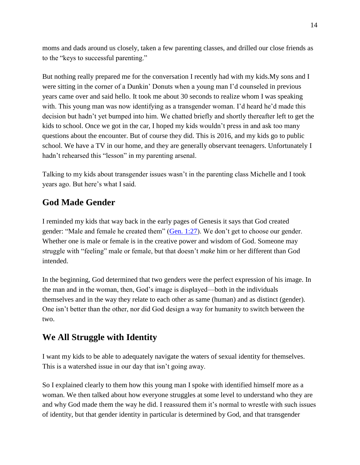moms and dads around us closely, taken a few parenting classes, and drilled our close friends as to the "keys to successful parenting."

But nothing really prepared me for the conversation I recently had with my kids.My sons and I were sitting in the corner of a Dunkin' Donuts when a young man I'd counseled in previous years came over and said hello. It took me about 30 seconds to realize whom I was speaking with. This young man was now identifying as a transgender woman. I'd heard he'd made this decision but hadn't yet bumped into him. We chatted briefly and shortly thereafter left to get the kids to school. Once we got in the car, I hoped my kids wouldn't press in and ask too many questions about the encounter. But of course they did. This is 2016, and my kids go to public school. We have a TV in our home, and they are generally observant teenagers. Unfortunately I hadn't rehearsed this "lesson" in my parenting arsenal.

Talking to my kids about transgender issues wasn't in the parenting class Michelle and I took years ago. But here's what I said.

# **God Made Gender**

I reminded my kids that way back in the early pages of Genesis it says that God created gender: "Male and female he created them" [\(Gen. 1:27\)](http://biblia.com/bible/esv/Gen.%201.27). We don't get to choose our gender. Whether one is male or female is in the creative power and wisdom of God. Someone may struggle with "feeling" male or female, but that doesn't *make* him or her different than God intended.

In the beginning, God determined that two genders were the perfect expression of his image. In the man and in the woman, then, God's image is displayed—both in the individuals themselves and in the way they relate to each other as same (human) and as distinct (gender). One isn't better than the other, nor did God design a way for humanity to switch between the two.

# **We All Struggle with Identity**

I want my kids to be able to adequately navigate the waters of sexual identity for themselves. This is a watershed issue in our day that isn't going away.

So I explained clearly to them how this young man I spoke with identified himself more as a woman. We then talked about how everyone struggles at some level to understand who they are and why God made them the way he did. I reassured them it's normal to wrestle with such issues of identity, but that gender identity in particular is determined by God, and that transgender